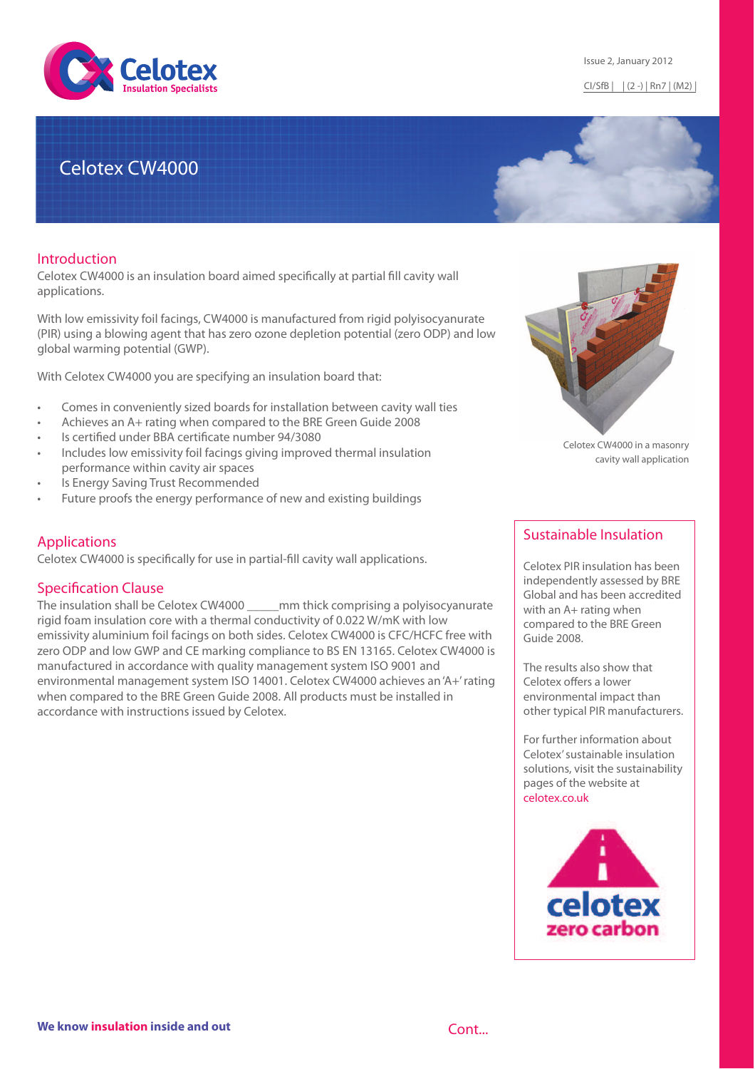

# Celotex CW4000

#### Introduction

Celotex CW4000 is an insulation board aimed specifically at partial fill cavity wall applications.

With low emissivity foil facings, CW4000 is manufactured from rigid polyisocyanurate (PIR) using a blowing agent that has zero ozone depletion potential (zero ODP) and low global warming potential (GWP).

With Celotex CW4000 you are specifying an insulation board that:

- Comes in conveniently sized boards for installation between cavity wall ties
- Achieves an A+ rating when compared to the BRE Green Guide 2008
- Is certified under BBA certificate number 94/3080
- Includes low emissivity foil facings giving improved thermal insulation performance within cavity air spaces
- Is Energy Saving Trust Recommended
- Future proofs the energy performance of new and existing buildings

### Applications

Celotex CW4000 is specifically for use in partial-fill cavity wall applications.

### **Specification Clause**

The insulation shall be Celotex CW4000 \_\_\_\_\_mm thick comprising a polyisocyanurate rigid foam insulation core with a thermal conductivity of 0.022 W/mK with low emissivity aluminium foil facings on both sides. Celotex CW4000 is CFC/HCFC free with zero ODP and low GWP and CE marking compliance to BS EN 13165. Celotex CW4000 is manufactured in accordance with quality management system ISO 9001 and environmental management system ISO 14001. Celotex CW4000 achieves an 'A+' rating when compared to the BRE Green Guide 2008. All products must be installed in accordance with instructions issued by Celotex.



Celotex CW4000 in a masonry cavity wall application

# Sustainable Insulation

Celotex PIR insulation has been independently assessed by BRE Global and has been accredited with an A+ rating when compared to the BRE Green Guide 2008.

The results also show that Celotex offers a lower environmental impact than other typical PIR manufacturers.

For further information about Celotex' sustainable insulation solutions, visit the sustainability pages of the website at celotex.co.uk